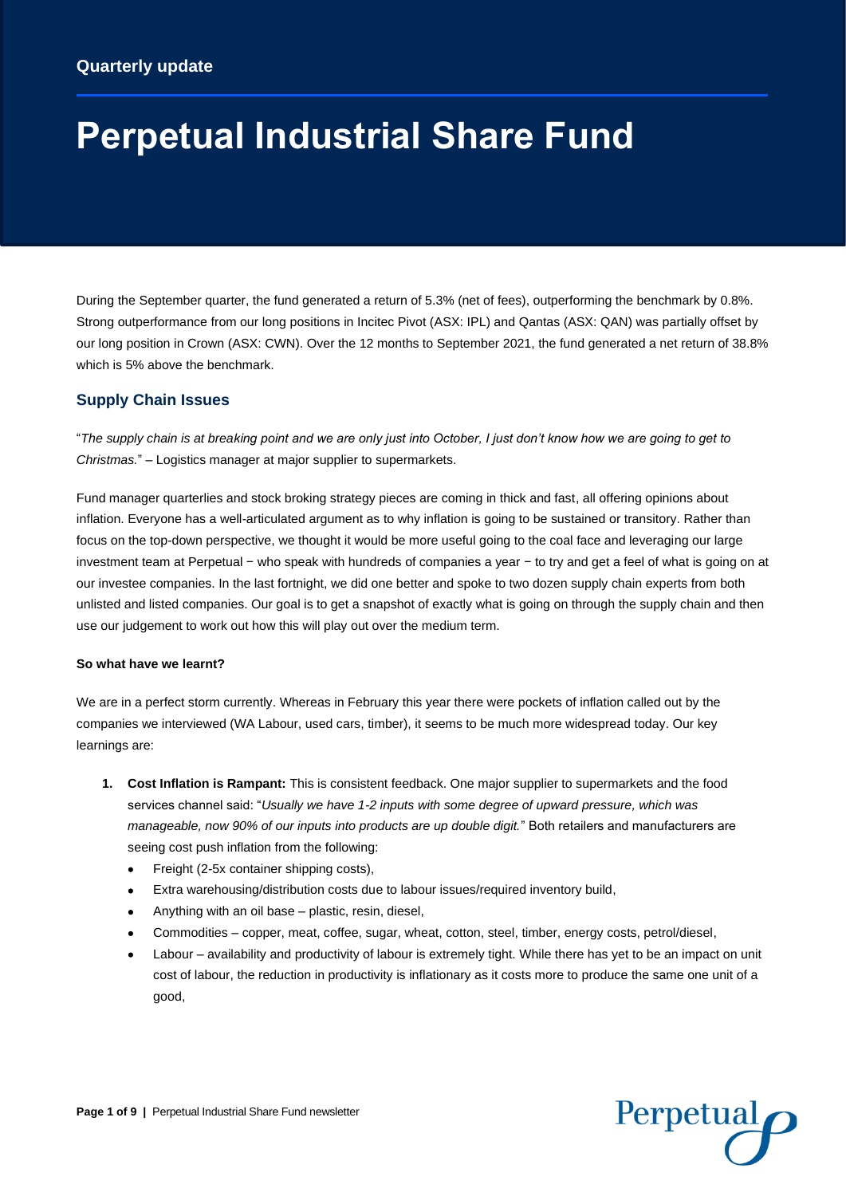# **Perpetual Industrial Share Fund**

During the September quarter, the fund generated a return of 5.3% (net of fees), outperforming the benchmark by 0.8%. Strong outperformance from our long positions in Incitec Pivot (ASX: IPL) and Qantas (ASX: QAN) was partially offset by our long position in Crown (ASX: CWN). Over the 12 months to September 2021, the fund generated a net return of 38.8% which is 5% above the benchmark.

# **Supply Chain Issues**

"*The supply chain is at breaking point and we are only just into October, I just don't know how we are going to get to Christmas.*" – Logistics manager at major supplier to supermarkets.

Fund manager quarterlies and stock broking strategy pieces are coming in thick and fast, all offering opinions about inflation. Everyone has a well-articulated argument as to why inflation is going to be sustained or transitory. Rather than focus on the top-down perspective, we thought it would be more useful going to the coal face and leveraging our large investment team at Perpetual − who speak with hundreds of companies a year − to try and get a feel of what is going on at our investee companies. In the last fortnight, we did one better and spoke to two dozen supply chain experts from both unlisted and listed companies. Our goal is to get a snapshot of exactly what is going on through the supply chain and then use our judgement to work out how this will play out over the medium term.

#### **So what have we learnt?**

We are in a perfect storm currently. Whereas in February this year there were pockets of inflation called out by the companies we interviewed (WA Labour, used cars, timber), it seems to be much more widespread today. Our key learnings are:

- **1. Cost Inflation is Rampant:** This is consistent feedback. One major supplier to supermarkets and the food services channel said: "*Usually we have 1-2 inputs with some degree of upward pressure, which was manageable, now 90% of our inputs into products are up double digit.*" Both retailers and manufacturers are seeing cost push inflation from the following:
	- Freight (2-5x container shipping costs),
	- Extra warehousing/distribution costs due to labour issues/required inventory build,
	- Anything with an oil base plastic, resin, diesel,
	- Commodities copper, meat, coffee, sugar, wheat, cotton, steel, timber, energy costs, petrol/diesel,
	- Labour availability and productivity of labour is extremely tight. While there has yet to be an impact on unit cost of labour, the reduction in productivity is inflationary as it costs more to produce the same one unit of a good,

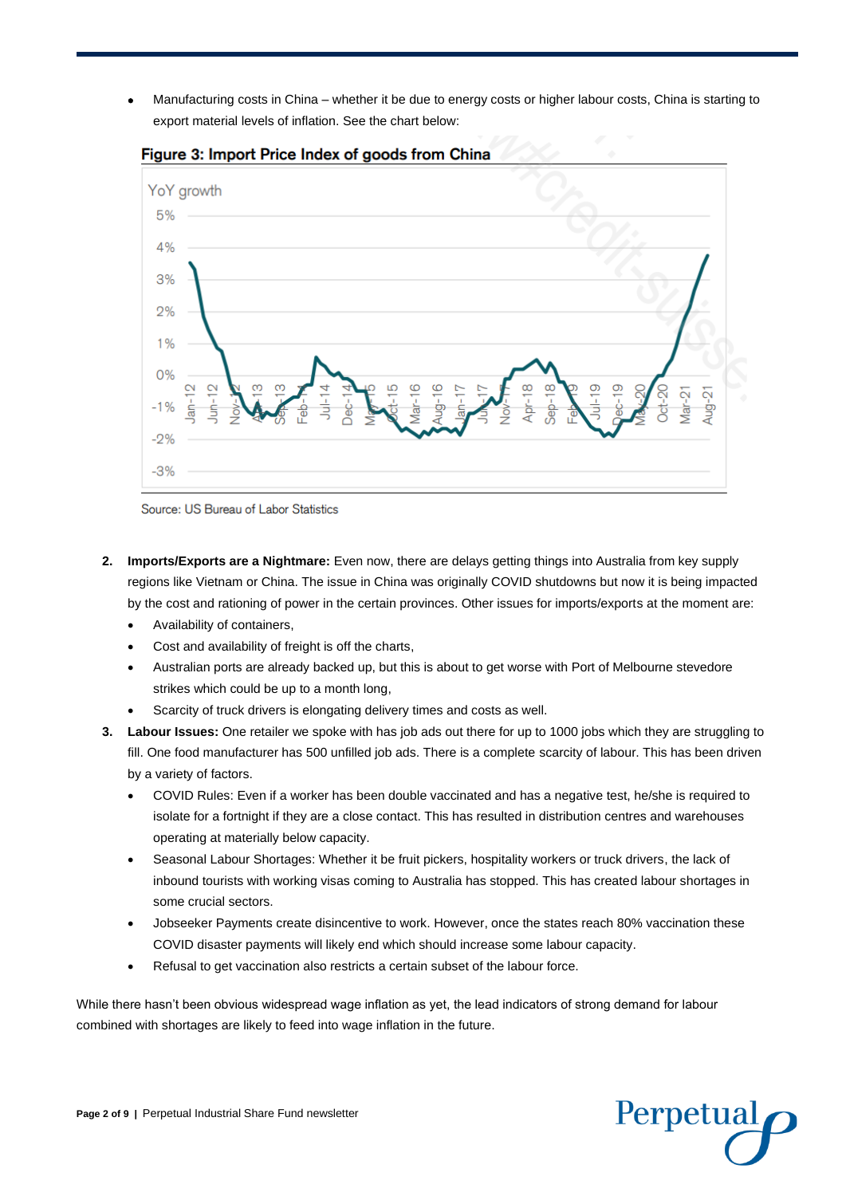• Manufacturing costs in China – whether it be due to energy costs or higher labour costs, China is starting to export material levels of inflation. See the chart below:



Figure 3: Import Price Index of goods from China

Source: US Bureau of Labor Statistics

- **2. Imports/Exports are a Nightmare:** Even now, there are delays getting things into Australia from key supply regions like Vietnam or China. The issue in China was originally COVID shutdowns but now it is being impacted by the cost and rationing of power in the certain provinces. Other issues for imports/exports at the moment are:
	- Availability of containers,
	- Cost and availability of freight is off the charts,
	- Australian ports are already backed up, but this is about to get worse with Port of Melbourne stevedore strikes which could be up to a month long,
	- Scarcity of truck drivers is elongating delivery times and costs as well.
- **3. Labour Issues:** One retailer we spoke with has job ads out there for up to 1000 jobs which they are struggling to fill. One food manufacturer has 500 unfilled job ads. There is a complete scarcity of labour. This has been driven by a variety of factors.
	- COVID Rules: Even if a worker has been double vaccinated and has a negative test, he/she is required to isolate for a fortnight if they are a close contact. This has resulted in distribution centres and warehouses operating at materially below capacity.
	- Seasonal Labour Shortages: Whether it be fruit pickers, hospitality workers or truck drivers, the lack of inbound tourists with working visas coming to Australia has stopped. This has created labour shortages in some crucial sectors.
	- Jobseeker Payments create disincentive to work. However, once the states reach 80% vaccination these COVID disaster payments will likely end which should increase some labour capacity.
	- Refusal to get vaccination also restricts a certain subset of the labour force.

While there hasn't been obvious widespread wage inflation as yet, the lead indicators of strong demand for labour combined with shortages are likely to feed into wage inflation in the future.

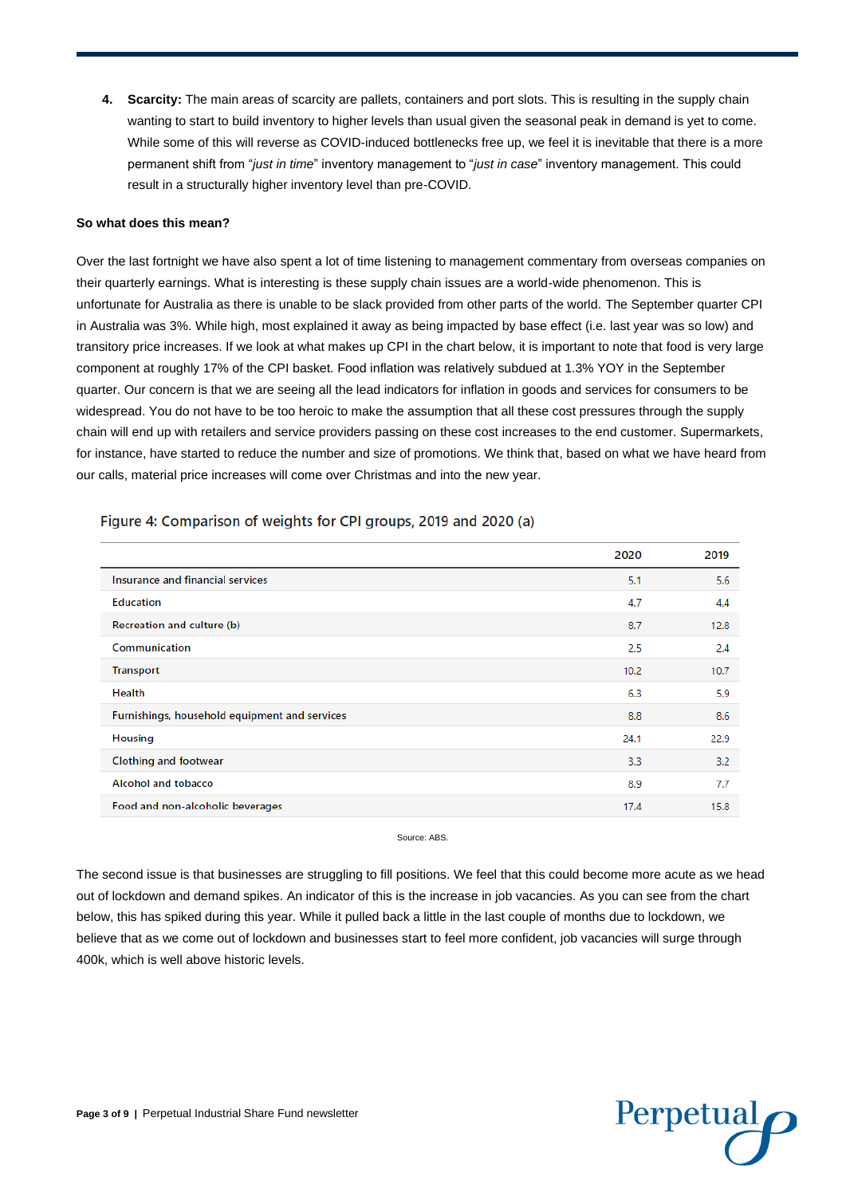**4. Scarcity:** The main areas of scarcity are pallets, containers and port slots. This is resulting in the supply chain wanting to start to build inventory to higher levels than usual given the seasonal peak in demand is yet to come. While some of this will reverse as COVID-induced bottlenecks free up, we feel it is inevitable that there is a more permanent shift from "*just in time*" inventory management to "*just in case*" inventory management. This could result in a structurally higher inventory level than pre-COVID.

# **So what does this mean?**

Over the last fortnight we have also spent a lot of time listening to management commentary from overseas companies on their quarterly earnings. What is interesting is these supply chain issues are a world-wide phenomenon. This is unfortunate for Australia as there is unable to be slack provided from other parts of the world. The September quarter CPI in Australia was 3%. While high, most explained it away as being impacted by base effect (i.e. last year was so low) and transitory price increases. If we look at what makes up CPI in the chart below, it is important to note that food is very large component at roughly 17% of the CPI basket. Food inflation was relatively subdued at 1.3% YOY in the September quarter. Our concern is that we are seeing all the lead indicators for inflation in goods and services for consumers to be widespread. You do not have to be too heroic to make the assumption that all these cost pressures through the supply chain will end up with retailers and service providers passing on these cost increases to the end customer. Supermarkets, for instance, have started to reduce the number and size of promotions. We think that, based on what we have heard from our calls, material price increases will come over Christmas and into the new year.

|                                               | 2020 | 2019 |
|-----------------------------------------------|------|------|
| Insurance and financial services              | 5.1  | 5.6  |
| <b>Education</b>                              | 4.7  | 4.4  |
| Recreation and culture (b)                    | 8.7  | 12.8 |
| Communication                                 | 2.5  | 2.4  |
| <b>Transport</b>                              | 10.2 | 10.7 |
| Health                                        | 6.3  | 5.9  |
| Furnishings, household equipment and services | 8.8  | 8.6  |
| <b>Housing</b>                                | 24.1 | 22.9 |
| <b>Clothing and footwear</b>                  | 3.3  | 3.2  |
| <b>Alcohol and tobacco</b>                    | 8.9  | 7.7  |
| Food and non-alcoholic beverages              | 17.4 | 15.8 |

Figure 4: Comparison of weights for CPI groups, 2019 and 2020 (a)

Source: ABS.

The second issue is that businesses are struggling to fill positions. We feel that this could become more acute as we head out of lockdown and demand spikes. An indicator of this is the increase in job vacancies. As you can see from the chart below, this has spiked during this year. While it pulled back a little in the last couple of months due to lockdown, we believe that as we come out of lockdown and businesses start to feel more confident, job vacancies will surge through 400k, which is well above historic levels.

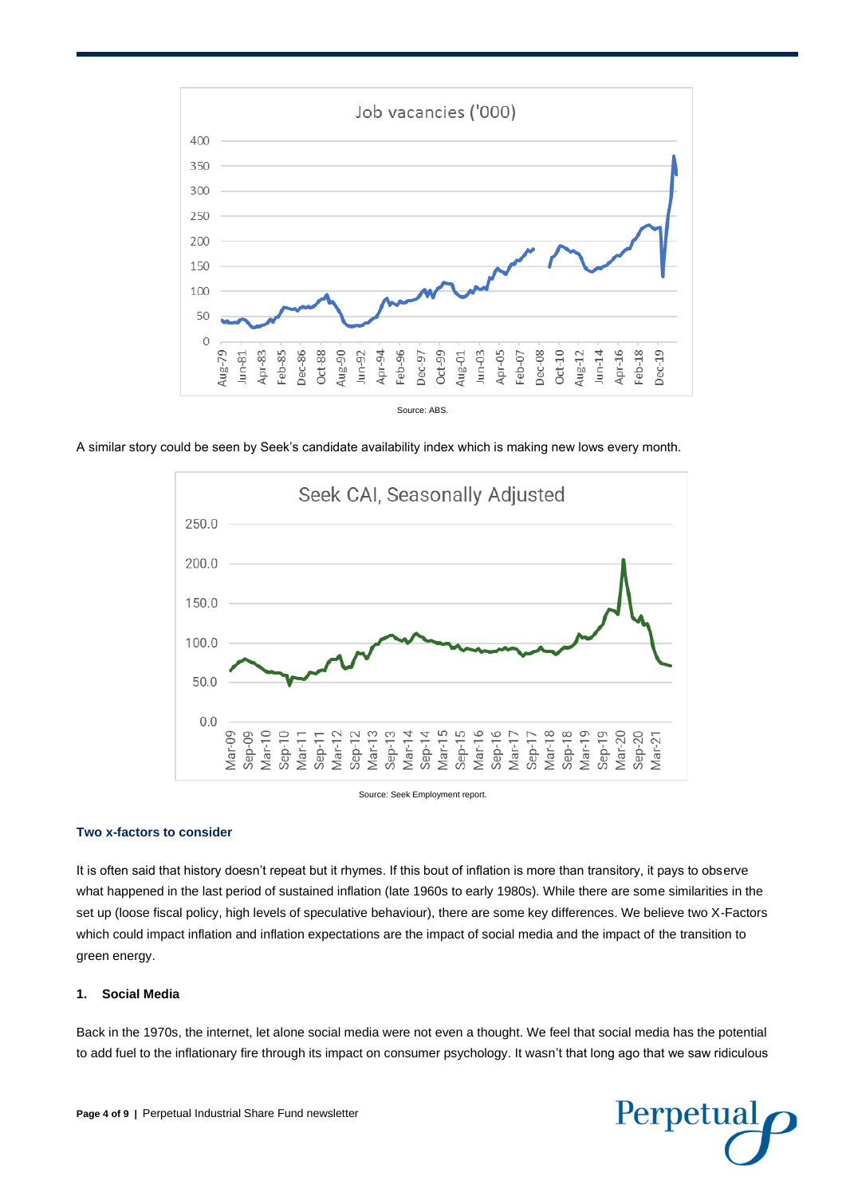

A similar story could be seen by Seek's candidate availability index which is making new lows every month.



# **Two x-factors to consider**

It is often said that history doesn't repeat but it rhymes. If this bout of inflation is more than transitory, it pays to observe what happened in the last period of sustained inflation (late 1960s to early 1980s). While there are some similarities in the set up (loose fiscal policy, high levels of speculative behaviour), there are some key differences. We believe two X-Factors which could impact inflation and inflation expectations are the impact of social media and the impact of the transition to green energy.

# **1. Social Media**

Back in the 1970s, the internet, let alone social media were not even a thought. We feel that social media has the potential to add fuel to the inflationary fire through its impact on consumer psychology. It wasn't that long ago that we saw ridiculous

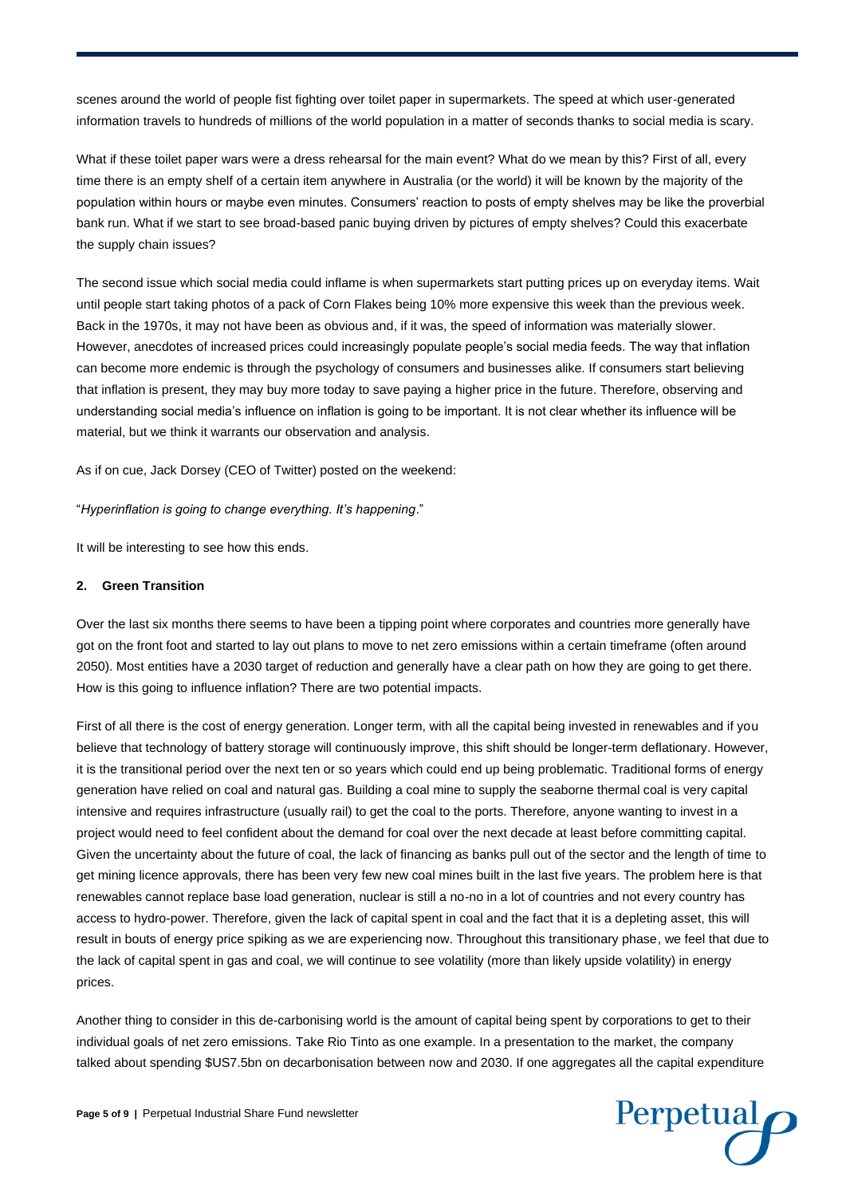scenes around the world of people fist fighting over toilet paper in supermarkets. The speed at which user-generated information travels to hundreds of millions of the world population in a matter of seconds thanks to social media is scary.

What if these toilet paper wars were a dress rehearsal for the main event? What do we mean by this? First of all, every time there is an empty shelf of a certain item anywhere in Australia (or the world) it will be known by the majority of the population within hours or maybe even minutes. Consumers' reaction to posts of empty shelves may be like the proverbial bank run. What if we start to see broad-based panic buying driven by pictures of empty shelves? Could this exacerbate the supply chain issues?

The second issue which social media could inflame is when supermarkets start putting prices up on everyday items. Wait until people start taking photos of a pack of Corn Flakes being 10% more expensive this week than the previous week. Back in the 1970s, it may not have been as obvious and, if it was, the speed of information was materially slower. However, anecdotes of increased prices could increasingly populate people's social media feeds. The way that inflation can become more endemic is through the psychology of consumers and businesses alike. If consumers start believing that inflation is present, they may buy more today to save paying a higher price in the future. Therefore, observing and understanding social media's influence on inflation is going to be important. It is not clear whether its influence will be material, but we think it warrants our observation and analysis.

As if on cue, Jack Dorsey (CEO of Twitter) posted on the weekend:

"*Hyperinflation is going to change everything. It's happening*."

It will be interesting to see how this ends.

#### **2. Green Transition**

Over the last six months there seems to have been a tipping point where corporates and countries more generally have got on the front foot and started to lay out plans to move to net zero emissions within a certain timeframe (often around 2050). Most entities have a 2030 target of reduction and generally have a clear path on how they are going to get there. How is this going to influence inflation? There are two potential impacts.

First of all there is the cost of energy generation. Longer term, with all the capital being invested in renewables and if you believe that technology of battery storage will continuously improve, this shift should be longer-term deflationary. However, it is the transitional period over the next ten or so years which could end up being problematic. Traditional forms of energy generation have relied on coal and natural gas. Building a coal mine to supply the seaborne thermal coal is very capital intensive and requires infrastructure (usually rail) to get the coal to the ports. Therefore, anyone wanting to invest in a project would need to feel confident about the demand for coal over the next decade at least before committing capital. Given the uncertainty about the future of coal, the lack of financing as banks pull out of the sector and the length of time to get mining licence approvals, there has been very few new coal mines built in the last five years. The problem here is that renewables cannot replace base load generation, nuclear is still a no-no in a lot of countries and not every country has access to hydro-power. Therefore, given the lack of capital spent in coal and the fact that it is a depleting asset, this will result in bouts of energy price spiking as we are experiencing now. Throughout this transitionary phase, we feel that due to the lack of capital spent in gas and coal, we will continue to see volatility (more than likely upside volatility) in energy prices.

Another thing to consider in this de-carbonising world is the amount of capital being spent by corporations to get to their individual goals of net zero emissions. Take Rio Tinto as one example. In a presentation to the market, the company talked about spending \$US7.5bn on decarbonisation between now and 2030. If one aggregates all the capital expenditure

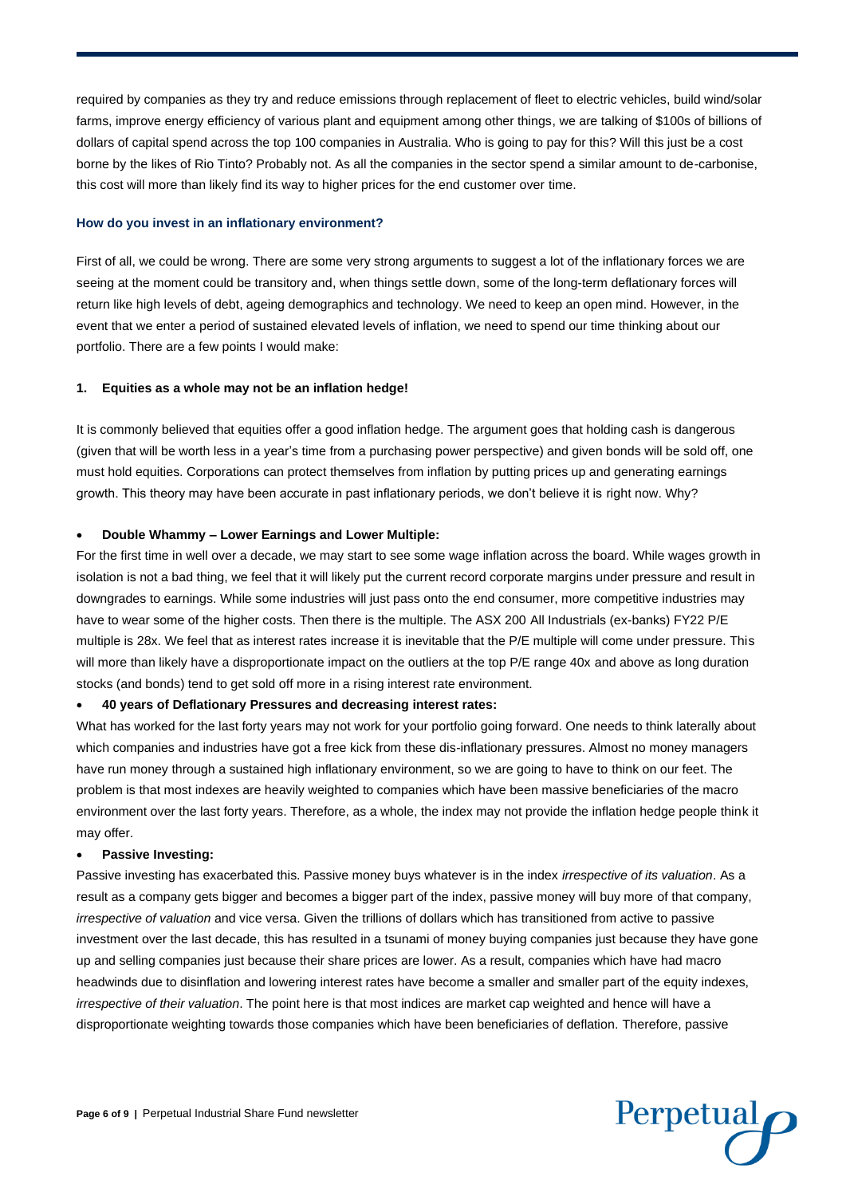required by companies as they try and reduce emissions through replacement of fleet to electric vehicles, build wind/solar farms, improve energy efficiency of various plant and equipment among other things, we are talking of \$100s of billions of dollars of capital spend across the top 100 companies in Australia. Who is going to pay for this? Will this just be a cost borne by the likes of Rio Tinto? Probably not. As all the companies in the sector spend a similar amount to de-carbonise, this cost will more than likely find its way to higher prices for the end customer over time.

#### **How do you invest in an inflationary environment?**

First of all, we could be wrong. There are some very strong arguments to suggest a lot of the inflationary forces we are seeing at the moment could be transitory and, when things settle down, some of the long-term deflationary forces will return like high levels of debt, ageing demographics and technology. We need to keep an open mind. However, in the event that we enter a period of sustained elevated levels of inflation, we need to spend our time thinking about our portfolio. There are a few points I would make:

# **1. Equities as a whole may not be an inflation hedge!**

It is commonly believed that equities offer a good inflation hedge. The argument goes that holding cash is dangerous (given that will be worth less in a year's time from a purchasing power perspective) and given bonds will be sold off, one must hold equities. Corporations can protect themselves from inflation by putting prices up and generating earnings growth. This theory may have been accurate in past inflationary periods, we don't believe it is right now. Why?

#### • **Double Whammy – Lower Earnings and Lower Multiple:**

For the first time in well over a decade, we may start to see some wage inflation across the board. While wages growth in isolation is not a bad thing, we feel that it will likely put the current record corporate margins under pressure and result in downgrades to earnings. While some industries will just pass onto the end consumer, more competitive industries may have to wear some of the higher costs. Then there is the multiple. The ASX 200 All Industrials (ex-banks) FY22 P/E multiple is 28x. We feel that as interest rates increase it is inevitable that the P/E multiple will come under pressure. This will more than likely have a disproportionate impact on the outliers at the top P/E range 40x and above as long duration stocks (and bonds) tend to get sold off more in a rising interest rate environment.

#### • **40 years of Deflationary Pressures and decreasing interest rates:**

What has worked for the last forty years may not work for your portfolio going forward. One needs to think laterally about which companies and industries have got a free kick from these dis-inflationary pressures. Almost no money managers have run money through a sustained high inflationary environment, so we are going to have to think on our feet. The problem is that most indexes are heavily weighted to companies which have been massive beneficiaries of the macro environment over the last forty years. Therefore, as a whole, the index may not provide the inflation hedge people think it may offer.

#### • **Passive Investing:**

Passive investing has exacerbated this. Passive money buys whatever is in the index *irrespective of its valuation*. As a result as a company gets bigger and becomes a bigger part of the index, passive money will buy more of that company, *irrespective of valuation* and vice versa. Given the trillions of dollars which has transitioned from active to passive investment over the last decade, this has resulted in a tsunami of money buying companies just because they have gone up and selling companies just because their share prices are lower. As a result, companies which have had macro headwinds due to disinflation and lowering interest rates have become a smaller and smaller part of the equity indexes, *irrespective of their valuation*. The point here is that most indices are market cap weighted and hence will have a disproportionate weighting towards those companies which have been beneficiaries of deflation. Therefore, passive

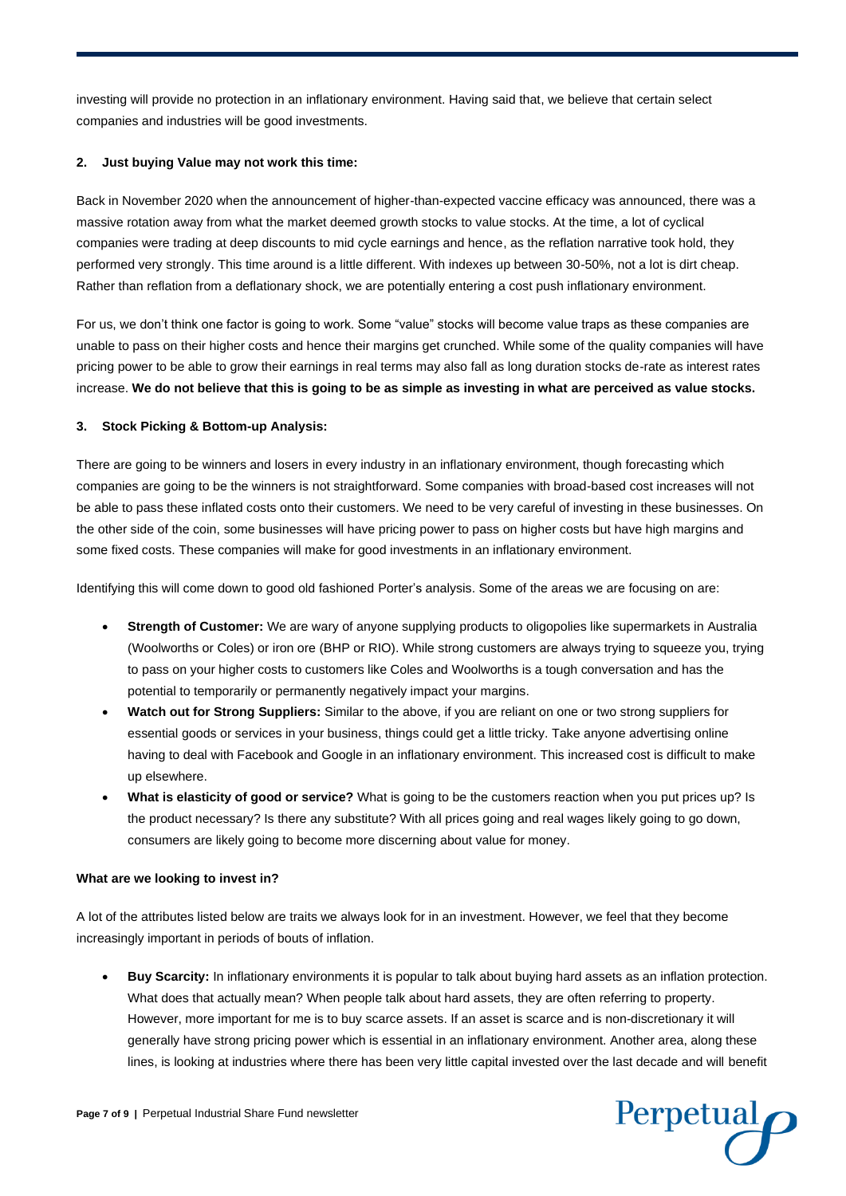investing will provide no protection in an inflationary environment. Having said that, we believe that certain select companies and industries will be good investments.

# **2. Just buying Value may not work this time:**

Back in November 2020 when the announcement of higher-than-expected vaccine efficacy was announced, there was a massive rotation away from what the market deemed growth stocks to value stocks. At the time, a lot of cyclical companies were trading at deep discounts to mid cycle earnings and hence, as the reflation narrative took hold, they performed very strongly. This time around is a little different. With indexes up between 30-50%, not a lot is dirt cheap. Rather than reflation from a deflationary shock, we are potentially entering a cost push inflationary environment.

For us, we don't think one factor is going to work. Some "value" stocks will become value traps as these companies are unable to pass on their higher costs and hence their margins get crunched. While some of the quality companies will have pricing power to be able to grow their earnings in real terms may also fall as long duration stocks de-rate as interest rates increase. **We do not believe that this is going to be as simple as investing in what are perceived as value stocks.**

# **3. Stock Picking & Bottom-up Analysis:**

There are going to be winners and losers in every industry in an inflationary environment, though forecasting which companies are going to be the winners is not straightforward. Some companies with broad-based cost increases will not be able to pass these inflated costs onto their customers. We need to be very careful of investing in these businesses. On the other side of the coin, some businesses will have pricing power to pass on higher costs but have high margins and some fixed costs. These companies will make for good investments in an inflationary environment.

Identifying this will come down to good old fashioned Porter's analysis. Some of the areas we are focusing on are:

- **Strength of Customer:** We are wary of anyone supplying products to oligopolies like supermarkets in Australia (Woolworths or Coles) or iron ore (BHP or RIO). While strong customers are always trying to squeeze you, trying to pass on your higher costs to customers like Coles and Woolworths is a tough conversation and has the potential to temporarily or permanently negatively impact your margins.
- **Watch out for Strong Suppliers:** Similar to the above, if you are reliant on one or two strong suppliers for essential goods or services in your business, things could get a little tricky. Take anyone advertising online having to deal with Facebook and Google in an inflationary environment. This increased cost is difficult to make up elsewhere.
- **What is elasticity of good or service?** What is going to be the customers reaction when you put prices up? Is the product necessary? Is there any substitute? With all prices going and real wages likely going to go down, consumers are likely going to become more discerning about value for money.

#### **What are we looking to invest in?**

A lot of the attributes listed below are traits we always look for in an investment. However, we feel that they become increasingly important in periods of bouts of inflation.

• **Buy Scarcity:** In inflationary environments it is popular to talk about buying hard assets as an inflation protection. What does that actually mean? When people talk about hard assets, they are often referring to property. However, more important for me is to buy scarce assets. If an asset is scarce and is non-discretionary it will generally have strong pricing power which is essential in an inflationary environment. Another area, along these lines, is looking at industries where there has been very little capital invested over the last decade and will benefit

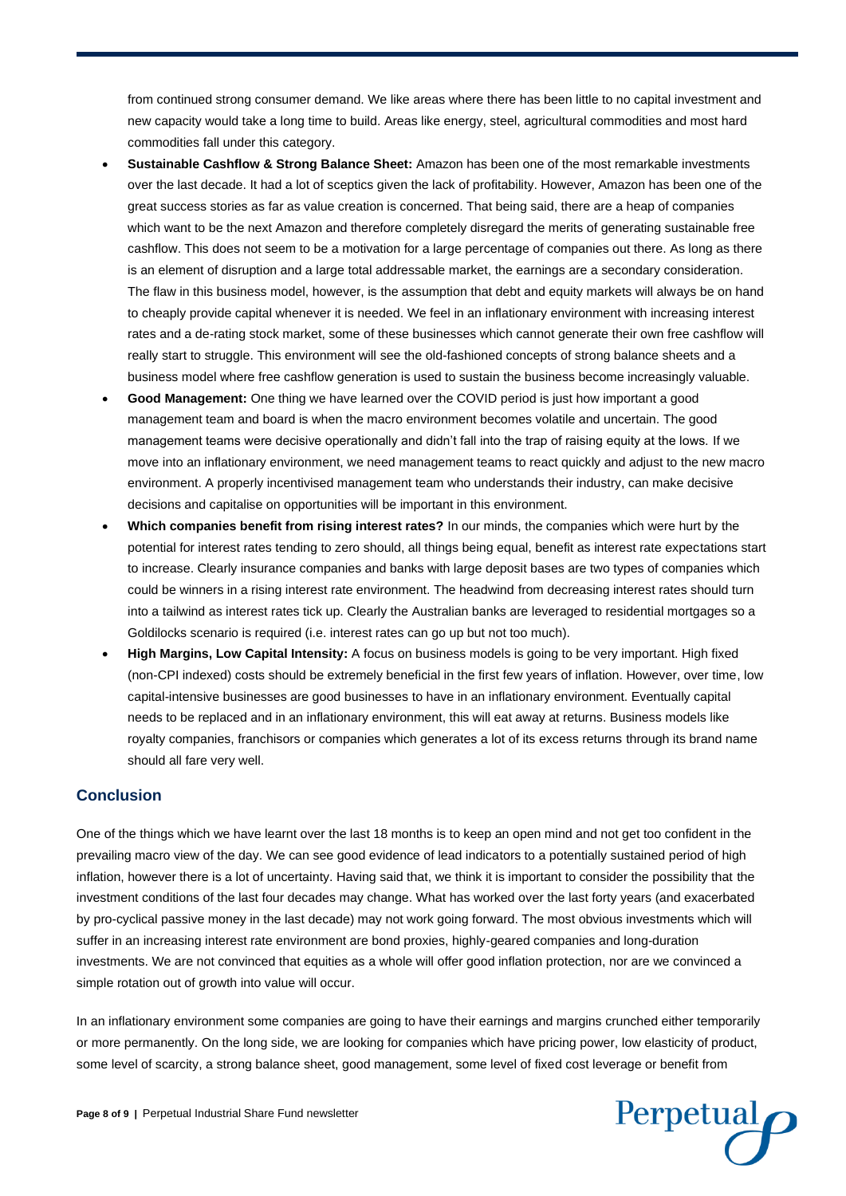from continued strong consumer demand. We like areas where there has been little to no capital investment and new capacity would take a long time to build. Areas like energy, steel, agricultural commodities and most hard commodities fall under this category.

- **Sustainable Cashflow & Strong Balance Sheet:** Amazon has been one of the most remarkable investments over the last decade. It had a lot of sceptics given the lack of profitability. However, Amazon has been one of the great success stories as far as value creation is concerned. That being said, there are a heap of companies which want to be the next Amazon and therefore completely disregard the merits of generating sustainable free cashflow. This does not seem to be a motivation for a large percentage of companies out there. As long as there is an element of disruption and a large total addressable market, the earnings are a secondary consideration. The flaw in this business model, however, is the assumption that debt and equity markets will always be on hand to cheaply provide capital whenever it is needed. We feel in an inflationary environment with increasing interest rates and a de-rating stock market, some of these businesses which cannot generate their own free cashflow will really start to struggle. This environment will see the old-fashioned concepts of strong balance sheets and a business model where free cashflow generation is used to sustain the business become increasingly valuable.
- **Good Management:** One thing we have learned over the COVID period is just how important a good management team and board is when the macro environment becomes volatile and uncertain. The good management teams were decisive operationally and didn't fall into the trap of raising equity at the lows. If we move into an inflationary environment, we need management teams to react quickly and adjust to the new macro environment. A properly incentivised management team who understands their industry, can make decisive decisions and capitalise on opportunities will be important in this environment.
- **Which companies benefit from rising interest rates?** In our minds, the companies which were hurt by the potential for interest rates tending to zero should, all things being equal, benefit as interest rate expectations start to increase. Clearly insurance companies and banks with large deposit bases are two types of companies which could be winners in a rising interest rate environment. The headwind from decreasing interest rates should turn into a tailwind as interest rates tick up. Clearly the Australian banks are leveraged to residential mortgages so a Goldilocks scenario is required (i.e. interest rates can go up but not too much).
- **High Margins, Low Capital Intensity:** A focus on business models is going to be very important. High fixed (non-CPI indexed) costs should be extremely beneficial in the first few years of inflation. However, over time, low capital-intensive businesses are good businesses to have in an inflationary environment. Eventually capital needs to be replaced and in an inflationary environment, this will eat away at returns. Business models like royalty companies, franchisors or companies which generates a lot of its excess returns through its brand name should all fare very well.

# **Conclusion**

One of the things which we have learnt over the last 18 months is to keep an open mind and not get too confident in the prevailing macro view of the day. We can see good evidence of lead indicators to a potentially sustained period of high inflation, however there is a lot of uncertainty. Having said that, we think it is important to consider the possibility that the investment conditions of the last four decades may change. What has worked over the last forty years (and exacerbated by pro-cyclical passive money in the last decade) may not work going forward. The most obvious investments which will suffer in an increasing interest rate environment are bond proxies, highly-geared companies and long-duration investments. We are not convinced that equities as a whole will offer good inflation protection, nor are we convinced a simple rotation out of growth into value will occur.

In an inflationary environment some companies are going to have their earnings and margins crunched either temporarily or more permanently. On the long side, we are looking for companies which have pricing power, low elasticity of product, some level of scarcity, a strong balance sheet, good management, some level of fixed cost leverage or benefit from



**Page 8 of 9 |** Perpetual Industrial Share Fund newsletter